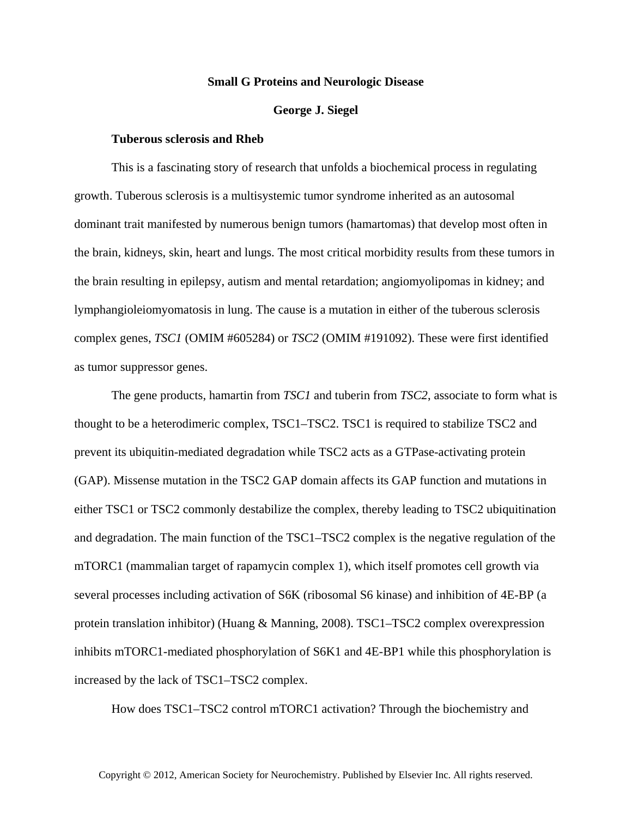## **Small G Proteins and Neurologic Disease**

## **George J. Siegel**

## **Tuberous sclerosis and Rheb**

This is a fascinating story of research that unfolds a biochemical process in regulating growth. Tuberous sclerosis is a multisystemic tumor syndrome inherited as an autosomal dominant trait manifested by numerous benign tumors (hamartomas) that develop most often in the brain, kidneys, skin, heart and lungs. The most critical morbidity results from these tumors in the brain resulting in epilepsy, autism and mental retardation; angiomyolipomas in kidney; and lymphangioleiomyomatosis in lung. The cause is a mutation in either of the tuberous sclerosis complex genes, *TSC1* (OMIM #605284) or *TSC2* (OMIM #191092). These were first identified as tumor suppressor genes.

The gene products, hamartin from *TSC1* and tuberin from *TSC2*, associate to form what is thought to be a heterodimeric complex, TSC1–TSC2. TSC1 is required to stabilize TSC2 and prevent its ubiquitin-mediated degradation while TSC2 acts as a GTPase-activating protein (GAP). Missense mutation in the TSC2 GAP domain affects its GAP function and mutations in either TSC1 or TSC2 commonly destabilize the complex, thereby leading to TSC2 ubiquitination and degradation. The main function of the TSC1–TSC2 complex is the negative regulation of the mTORC1 (mammalian target of rapamycin complex 1), which itself promotes cell growth via several processes including activation of S6K (ribosomal S6 kinase) and inhibition of 4E-BP (a protein translation inhibitor) (Huang & Manning, 2008). TSC1–TSC2 complex overexpression inhibits mTORC1-mediated phosphorylation of S6K1 and 4E-BP1 while this phosphorylation is increased by the lack of TSC1–TSC2 complex.

How does TSC1–TSC2 control mTORC1 activation? Through the biochemistry and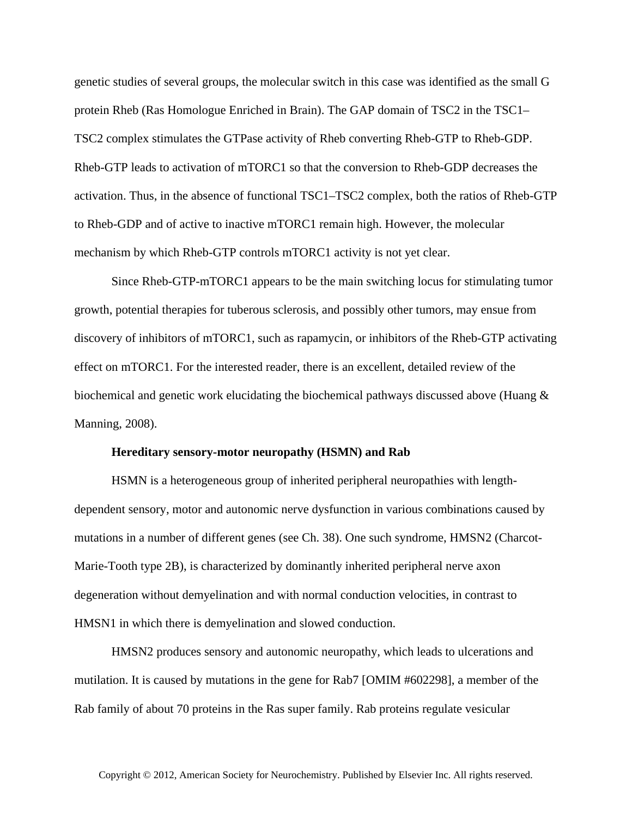genetic studies of several groups, the molecular switch in this case was identified as the small G protein Rheb (Ras Homologue Enriched in Brain). The GAP domain of TSC2 in the TSC1– TSC2 complex stimulates the GTPase activity of Rheb converting Rheb-GTP to Rheb-GDP. Rheb-GTP leads to activation of mTORC1 so that the conversion to Rheb-GDP decreases the activation. Thus, in the absence of functional TSC1–TSC2 complex, both the ratios of Rheb-GTP to Rheb-GDP and of active to inactive mTORC1 remain high. However, the molecular mechanism by which Rheb-GTP controls mTORC1 activity is not yet clear.

Since Rheb-GTP-mTORC1 appears to be the main switching locus for stimulating tumor growth, potential therapies for tuberous sclerosis, and possibly other tumors, may ensue from discovery of inhibitors of mTORC1, such as rapamycin, or inhibitors of the Rheb-GTP activating effect on mTORC1. For the interested reader, there is an excellent, detailed review of the biochemical and genetic work elucidating the biochemical pathways discussed above (Huang & Manning, 2008).

## **Hereditary sensory-motor neuropathy (HSMN) and Rab**

HSMN is a heterogeneous group of inherited peripheral neuropathies with lengthdependent sensory, motor and autonomic nerve dysfunction in various combinations caused by mutations in a number of different genes (see Ch. 38). One such syndrome, HMSN2 (Charcot-Marie-Tooth type 2B), is characterized by dominantly inherited peripheral nerve axon degeneration without demyelination and with normal conduction velocities, in contrast to HMSN1 in which there is demyelination and slowed conduction.

HMSN2 produces sensory and autonomic neuropathy, which leads to ulcerations and mutilation. It is caused by mutations in the gene for Rab7 [OMIM #602298], a member of the Rab family of about 70 proteins in the Ras super family. Rab proteins regulate vesicular